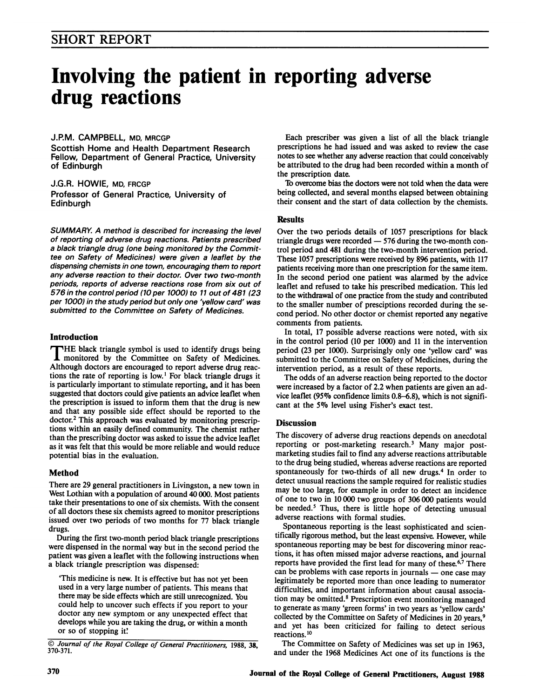# Involving the patient in reporting adverse drug reactions

#### J.RM. CAMPBELL, MD, MRCGP

Scottish Home and Health Department Research Fellow, Department of General Practice, University of Edinburgh

J.G.R. HOWIE, MD, FRCGP Professor of General Practice, University of Edinburgh

SUMMARY. A method is described for increasing the level of reporting of adverse drug reactions. Patients prescribed a black triangle drug (one being monitored by the Committee on Safety of Medicines) were given a leaflet by the dispensing chemists in one town, encouraging them to report any adverse reaction to their doctor. Over two two-month periods, reports of adverse reactions rose from six out of 576 in the control period (10 per 1000) to <sup>11</sup> out of 481 (23 per 1000) in the study period but only one 'yellow card' was submitted to the Committee on Safety of Medicines.

# Introduction

THE black triangle symbol is used to identify drugs being monitored by the Committee on Safety of Medicines. Although doctors are encouraged to report adverse drug reactions the rate of reporting is low.<sup>1</sup> For black triangle drugs it is particularly important to stimulate reporting, and it has been suggested that doctors could give patients an advice leaflet when the prescription is issued to inform them that the drug is new and that any possible side effect should be reported to the doctor.2 This approach was evaluated by monitoring prescriptions within an easily defined community. The chemist rather than the prescribing doctor was asked to issue the advice leaflet as it was felt that this would be more reliable and would reduce potential bias in the evaluation.

# Method

There are 29 general practitioners in Livingston, a new town in West Lothian with a population of around 40 000. Most patients take their presentations to one of six chemists. With the consent of all doctors these six chemists agreed to monitor prescriptions issued over two periods of two months for 77 black triangle drugs.

During the first two-month period black triangle prescriptions were dispensed in the normal way but in the second period the patient was given a leaflet with the following instructions when a black triangle prescription was dispensed:

'This medicine is new. It is effective but has not yet been used in a very large number of patients. This means that there may be side effects which are still unrecognized. You could help to uncover such effects if you report to your doctor any new symptom or any unexpected effect that develops while you are taking the drug, or within a month or so of stopping it'

Each prescriber was given a list of all the black triangle prescriptions he had issued and was asked to review the case notes to see whether any adverse reaction that could conceivably be attributed to the drug had been recorded within a month of the prescription date.

To overcome bias the doctors were not told when the data were being collected, and several months elapsed between obtaining their consent and the start of data collection by the chemists.

#### Results

Over the two periods details of 1057 prescriptions for black triangle drugs were recorded  $-576$  during the two-month control period and 481 during the two-month intervention period. These 1057 prescriptions were received by 896 patients, with 117 patients receiving more than one prescription for the same item. In the second period one patient was alarmed by the advice leaflet and refused to take his prescribed medication. This led to the withdrawal of one practice from the study and contributed to the smaller number of presciptions recorded during the second period. No other doctor or chemist reported any negative comments from patients.

In total, 17 possible adverse reactions were noted, with six in the control period (10 per 1000) and <sup>11</sup> in the intervention period (23 per 1000). Surprisingly only one 'yellow card' was submitted to the Committee on Safety of Medicines, during the intervention period, as a result of these reports.

The odds of an adverse reaction being reported to the doctor were increased by a factor of 2.2 when patients are given an advice leaflet (95% confidence limits 0.8-6.8), which is not significant at the 5% level using Fisher's exact test.

# **Discussion**

The discovery of adverse drug reactions depends on anecdotal reporting or post-marketing research.3 Many major postmarketing studies fail to find any adverse reactions attributable to the drug being studied, whereas adverse reactions are reported spontaneously for two-thirds of all new drugs.<sup>4</sup> In order to detect unusual reactions the sample required for realistic studies may be too large, for example in order to detect an incidence of one to two in 10 000 two groups of 306 000 patients would be needed.<sup>5</sup> Thus, there is little hope of detecting unusual adverse reactions with formal studies.

Spontaneous reporting is the least sophisticated and scientifically rigorous method, but the least expensive. However, while spontaneous reporting may be best for discovering minor reactions, it has often missed major adverse reactions, and journal reports have provided the first lead for many of these.<sup>6,7</sup> There can be problems with case reports in journals  $-$  one case may legitimately be reported more than once leading to numerator difficulties, and important information about causal association may be omitted.8 Prescription event monitoring managed to generate as many 'green forms' in two years as 'yellow cards' collected by the Committee on Safety of Medicines in 20 years,<sup>9</sup> and yet has been criticized for failing to detect serious reactions. 10

The Committee on Safety of Medicines was set up in 1963, and under the 1968 Medicines Act one of its functions is the

<sup>©</sup> Journal of the Royal College of General Practitioners, 1988, 38, 370-371.